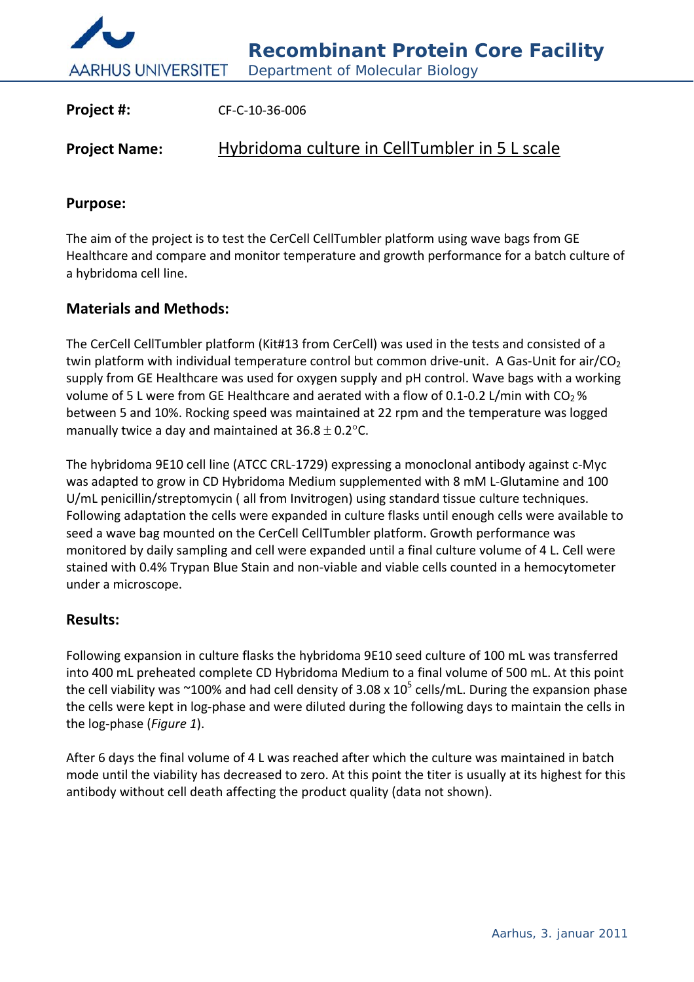

| Project #:           | CF-C-10-36-006                                |
|----------------------|-----------------------------------------------|
| <b>Project Name:</b> | Hybridoma culture in CellTumbler in 5 L scale |

## **Purpose:**

The aim of the project is to test the CerCell CellTumbler platform using wave bags from GE Healthcare and compare and monitor temperature and growth performance for a batch culture of a hybridoma cell line.

## **Materials and Methods:**

The CerCell CellTumbler platform (Kit#13 from CerCell) was used in the tests and consisted of a twin platform with individual temperature control but common drive-unit. A Gas-Unit for air/CO<sub>2</sub> supply from GE Healthcare was used for oxygen supply and pH control. Wave bags with a working volume of 5 L were from GE Healthcare and aerated with a flow of 0.1-0.2 L/min with  $CO<sub>2</sub>$ % between 5 and 10%. Rocking speed was maintained at 22 rpm and the temperature was logged manually twice a day and maintained at  $36.8 \pm 0.2$  °C.

The hybridoma 9E10 cell line (ATCC CRL‐1729) expressing a monoclonal antibody against c‐Myc was adapted to grow in CD Hybridoma Medium supplemented with 8 mM L‐Glutamine and 100 U/mL penicillin/streptomycin ( all from Invitrogen) using standard tissue culture techniques. Following adaptation the cells were expanded in culture flasks until enough cells were available to seed a wave bag mounted on the CerCell CellTumbler platform. Growth performance was monitored by daily sampling and cell were expanded until a final culture volume of 4 L. Cell were stained with 0.4% Trypan Blue Stain and non‐viable and viable cells counted in a hemocytometer under a microscope.

## **Results:**

Following expansion in culture flasks the hybridoma 9E10 seed culture of 100 mL was transferred into 400 mL preheated complete CD Hybridoma Medium to a final volume of 500 mL. At this point the cell viability was  $\sim$ 100% and had cell density of 3.08 x 10<sup>5</sup> cells/mL. During the expansion phase the cells were kept in log‐phase and were diluted during the following days to maintain the cells in the log‐phase (*Figure 1*).

After 6 days the final volume of 4 L was reached after which the culture was maintained in batch mode until the viability has decreased to zero. At this point the titer is usually at its highest for this antibody without cell death affecting the product quality (data not shown).